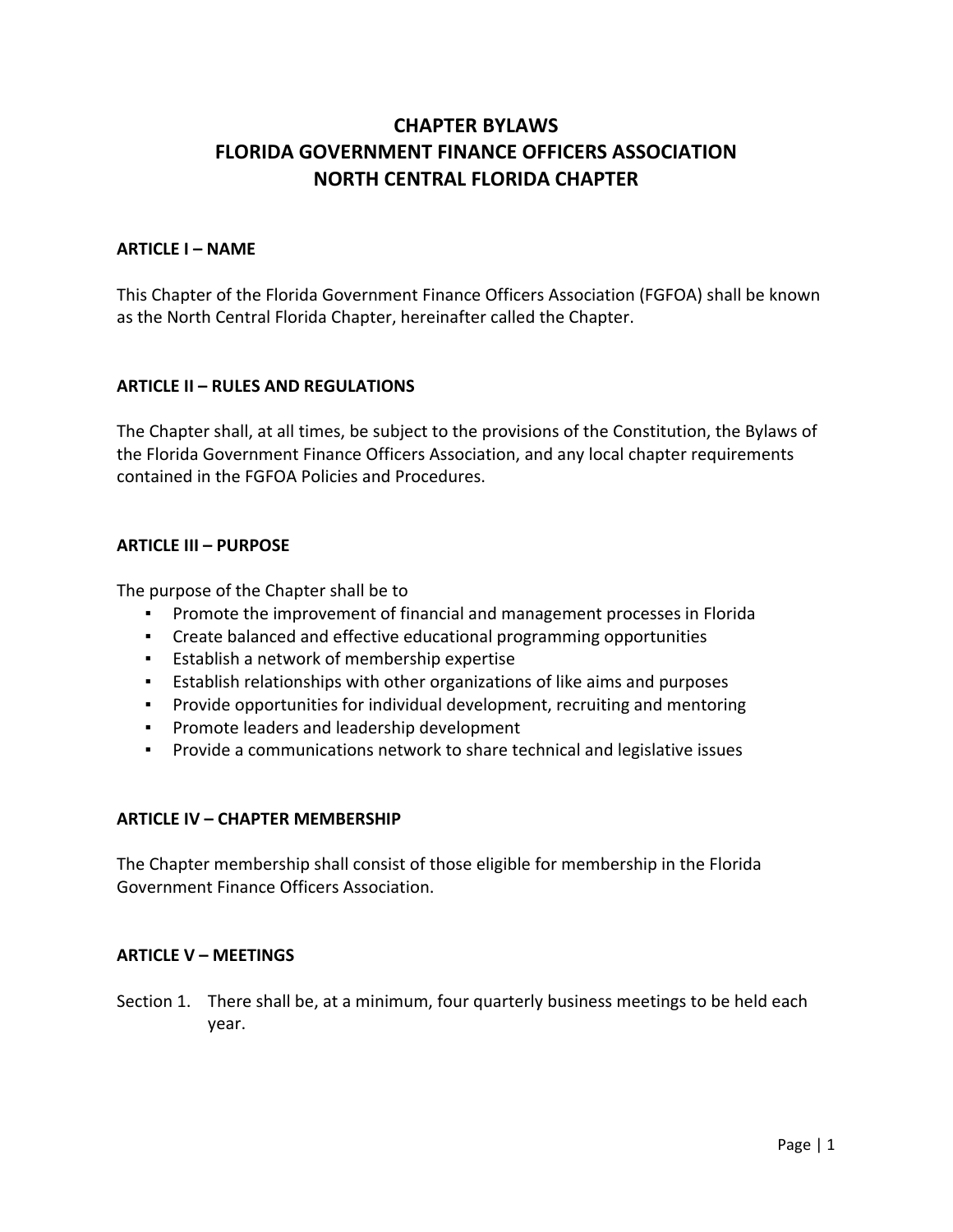# **CHAPTER BYLAWS FLORIDA GOVERNMENT FINANCE OFFICERS ASSOCIATION NORTH CENTRAL FLORIDA CHAPTER**

## **ARTICLE I – NAME**

This Chapter of the Florida Government Finance Officers Association (FGFOA) shall be known as the North Central Florida Chapter, hereinafter called the Chapter.

### **ARTICLE II – RULES AND REGULATIONS**

The Chapter shall, at all times, be subject to the provisions of the Constitution, the Bylaws of the Florida Government Finance Officers Association, and any local chapter requirements contained in the FGFOA Policies and Procedures.

#### **ARTICLE III – PURPOSE**

The purpose of the Chapter shall be to

- Promote the improvement of financial and management processes in Florida
- Create balanced and effective educational programming opportunities
- Establish a network of membership expertise
- Establish relationships with other organizations of like aims and purposes
- Provide opportunities for individual development, recruiting and mentoring
- Promote leaders and leadership development
- Provide a communications network to share technical and legislative issues

#### **ARTICLE IV – CHAPTER MEMBERSHIP**

The Chapter membership shall consist of those eligible for membership in the Florida Government Finance Officers Association.

#### **ARTICLE V – MEETINGS**

Section 1. There shall be, at a minimum, four quarterly business meetings to be held each year.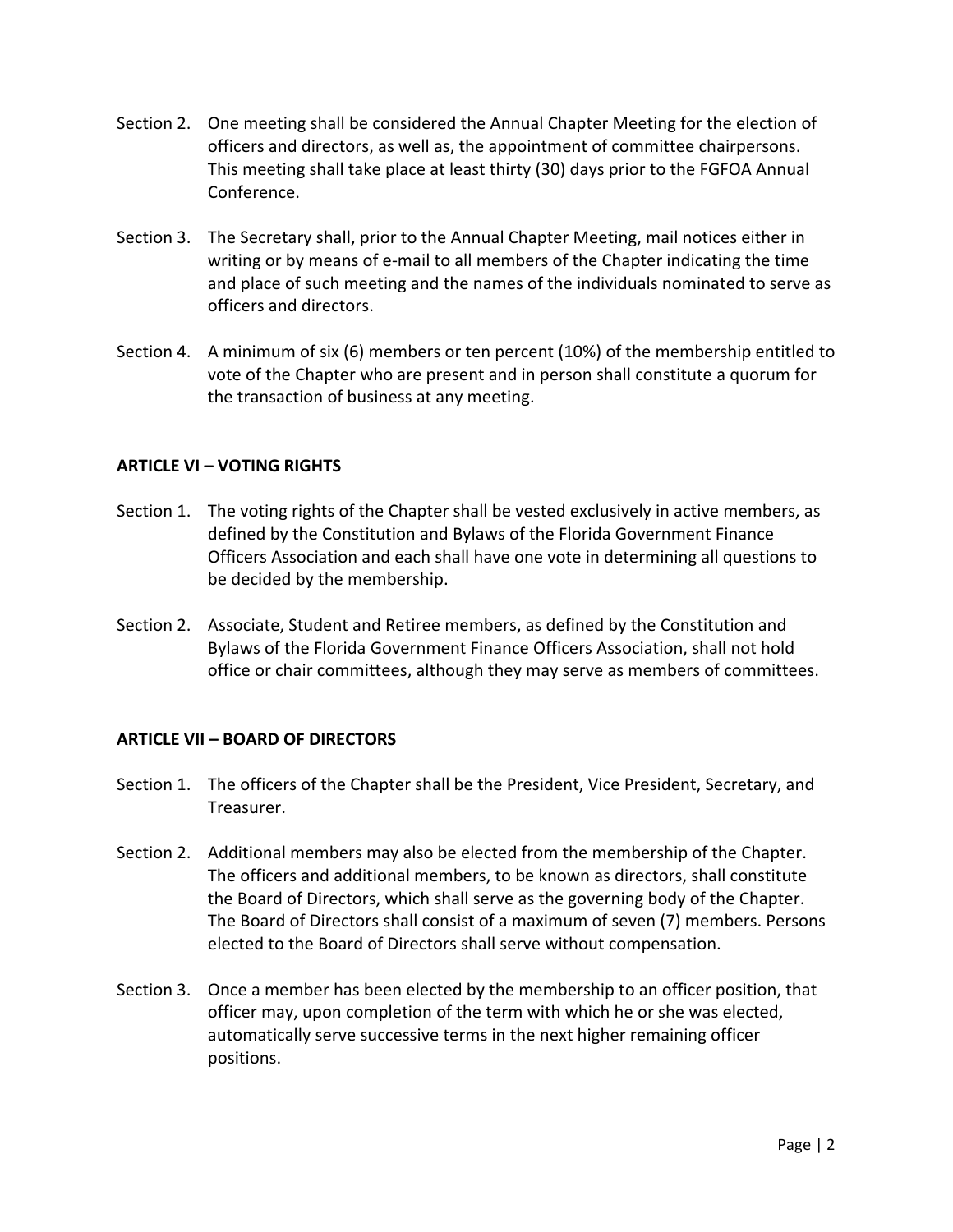- Section 2. One meeting shall be considered the Annual Chapter Meeting for the election of officers and directors, as well as, the appointment of committee chairpersons. This meeting shall take place at least thirty (30) days prior to the FGFOA Annual Conference.
- Section 3. The Secretary shall, prior to the Annual Chapter Meeting, mail notices either in writing or by means of e‐mail to all members of the Chapter indicating the time and place of such meeting and the names of the individuals nominated to serve as officers and directors.
- Section 4. A minimum of six (6) members or ten percent (10%) of the membership entitled to vote of the Chapter who are present and in person shall constitute a quorum for the transaction of business at any meeting.

## **ARTICLE VI – VOTING RIGHTS**

- Section 1. The voting rights of the Chapter shall be vested exclusively in active members, as defined by the Constitution and Bylaws of the Florida Government Finance Officers Association and each shall have one vote in determining all questions to be decided by the membership.
- Section 2. Associate, Student and Retiree members, as defined by the Constitution and Bylaws of the Florida Government Finance Officers Association, shall not hold office or chair committees, although they may serve as members of committees.

### **ARTICLE VII – BOARD OF DIRECTORS**

- Section 1. The officers of the Chapter shall be the President, Vice President, Secretary, and Treasurer.
- Section 2. Additional members may also be elected from the membership of the Chapter. The officers and additional members, to be known as directors, shall constitute the Board of Directors, which shall serve as the governing body of the Chapter. The Board of Directors shall consist of a maximum of seven (7) members. Persons elected to the Board of Directors shall serve without compensation.
- Section 3. Once a member has been elected by the membership to an officer position, that officer may, upon completion of the term with which he or she was elected, automatically serve successive terms in the next higher remaining officer positions.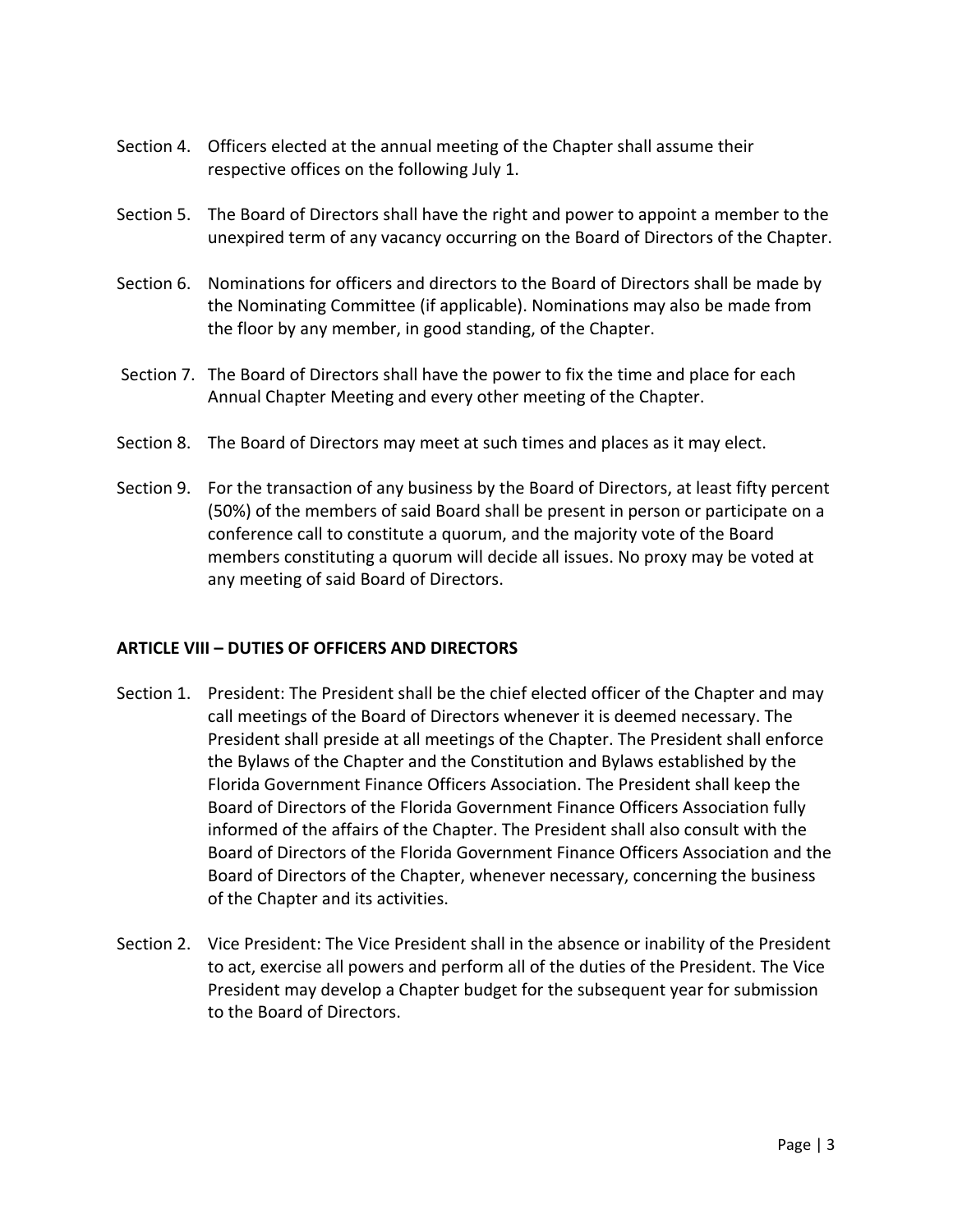- Section 4. Officers elected at the annual meeting of the Chapter shall assume their respective offices on the following July 1.
- Section 5. The Board of Directors shall have the right and power to appoint a member to the unexpired term of any vacancy occurring on the Board of Directors of the Chapter.
- Section 6. Nominations for officers and directors to the Board of Directors shall be made by the Nominating Committee (if applicable). Nominations may also be made from the floor by any member, in good standing, of the Chapter.
- Section 7. The Board of Directors shall have the power to fix the time and place for each Annual Chapter Meeting and every other meeting of the Chapter.
- Section 8. The Board of Directors may meet at such times and places as it may elect.
- Section 9. For the transaction of any business by the Board of Directors, at least fifty percent (50%) of the members of said Board shall be present in person or participate on a conference call to constitute a quorum, and the majority vote of the Board members constituting a quorum will decide all issues. No proxy may be voted at any meeting of said Board of Directors.

# **ARTICLE VIII – DUTIES OF OFFICERS AND DIRECTORS**

- Section 1. President: The President shall be the chief elected officer of the Chapter and may call meetings of the Board of Directors whenever it is deemed necessary. The President shall preside at all meetings of the Chapter. The President shall enforce the Bylaws of the Chapter and the Constitution and Bylaws established by the Florida Government Finance Officers Association. The President shall keep the Board of Directors of the Florida Government Finance Officers Association fully informed of the affairs of the Chapter. The President shall also consult with the Board of Directors of the Florida Government Finance Officers Association and the Board of Directors of the Chapter, whenever necessary, concerning the business of the Chapter and its activities.
- Section 2. Vice President: The Vice President shall in the absence or inability of the President to act, exercise all powers and perform all of the duties of the President. The Vice President may develop a Chapter budget for the subsequent year for submission to the Board of Directors.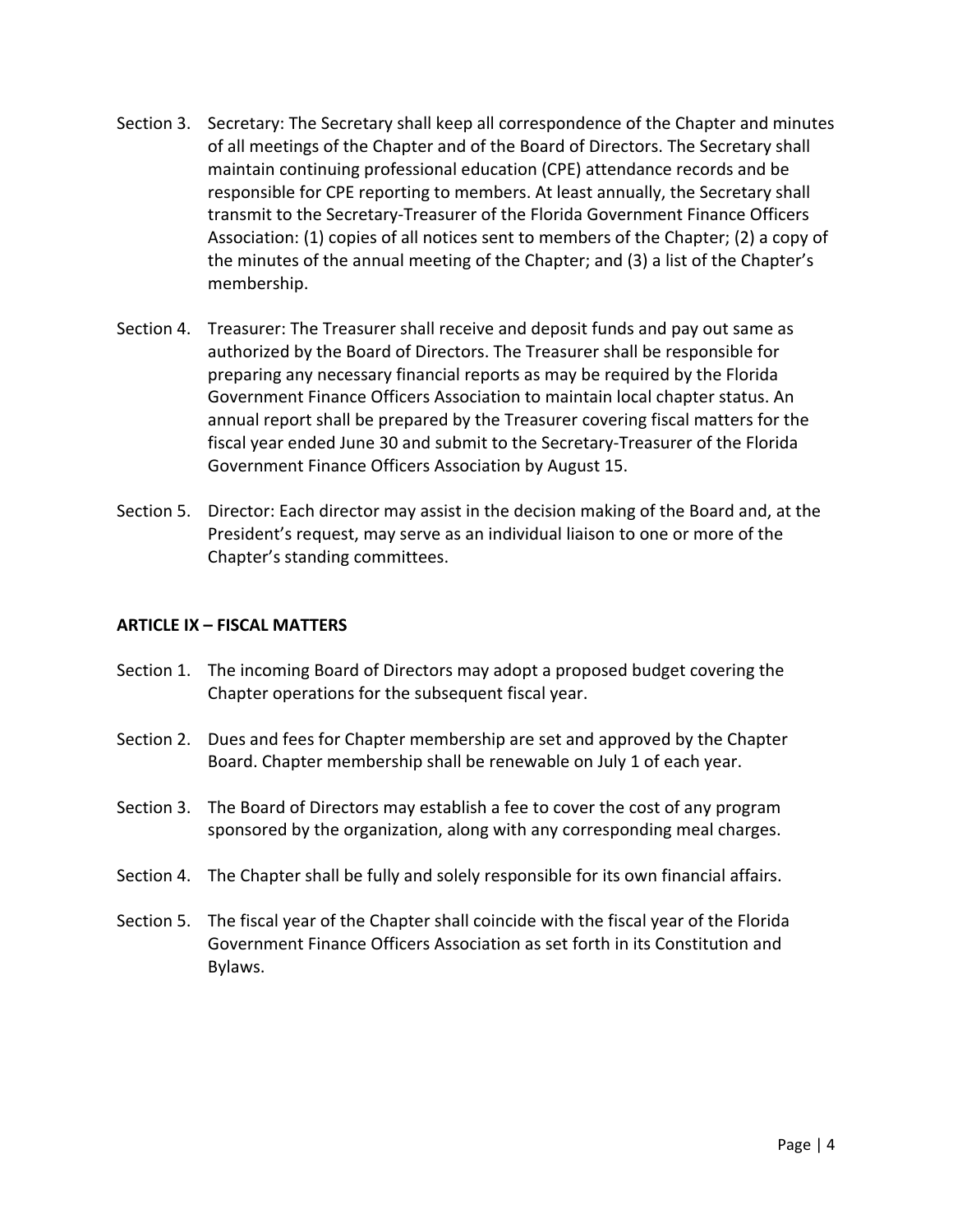- Section 3. Secretary: The Secretary shall keep all correspondence of the Chapter and minutes of all meetings of the Chapter and of the Board of Directors. The Secretary shall maintain continuing professional education (CPE) attendance records and be responsible for CPE reporting to members. At least annually, the Secretary shall transmit to the Secretary‐Treasurer of the Florida Government Finance Officers Association: (1) copies of all notices sent to members of the Chapter; (2) a copy of the minutes of the annual meeting of the Chapter; and (3) a list of the Chapter's membership.
- Section 4. Treasurer: The Treasurer shall receive and deposit funds and pay out same as authorized by the Board of Directors. The Treasurer shall be responsible for preparing any necessary financial reports as may be required by the Florida Government Finance Officers Association to maintain local chapter status. An annual report shall be prepared by the Treasurer covering fiscal matters for the fiscal year ended June 30 and submit to the Secretary‐Treasurer of the Florida Government Finance Officers Association by August 15.
- Section 5. Director: Each director may assist in the decision making of the Board and, at the President's request, may serve as an individual liaison to one or more of the Chapter's standing committees.

### **ARTICLE IX – FISCAL MATTERS**

- Section 1. The incoming Board of Directors may adopt a proposed budget covering the Chapter operations for the subsequent fiscal year.
- Section 2. Dues and fees for Chapter membership are set and approved by the Chapter Board. Chapter membership shall be renewable on July 1 of each year.
- Section 3. The Board of Directors may establish a fee to cover the cost of any program sponsored by the organization, along with any corresponding meal charges.
- Section 4. The Chapter shall be fully and solely responsible for its own financial affairs.
- Section 5. The fiscal year of the Chapter shall coincide with the fiscal year of the Florida Government Finance Officers Association as set forth in its Constitution and Bylaws.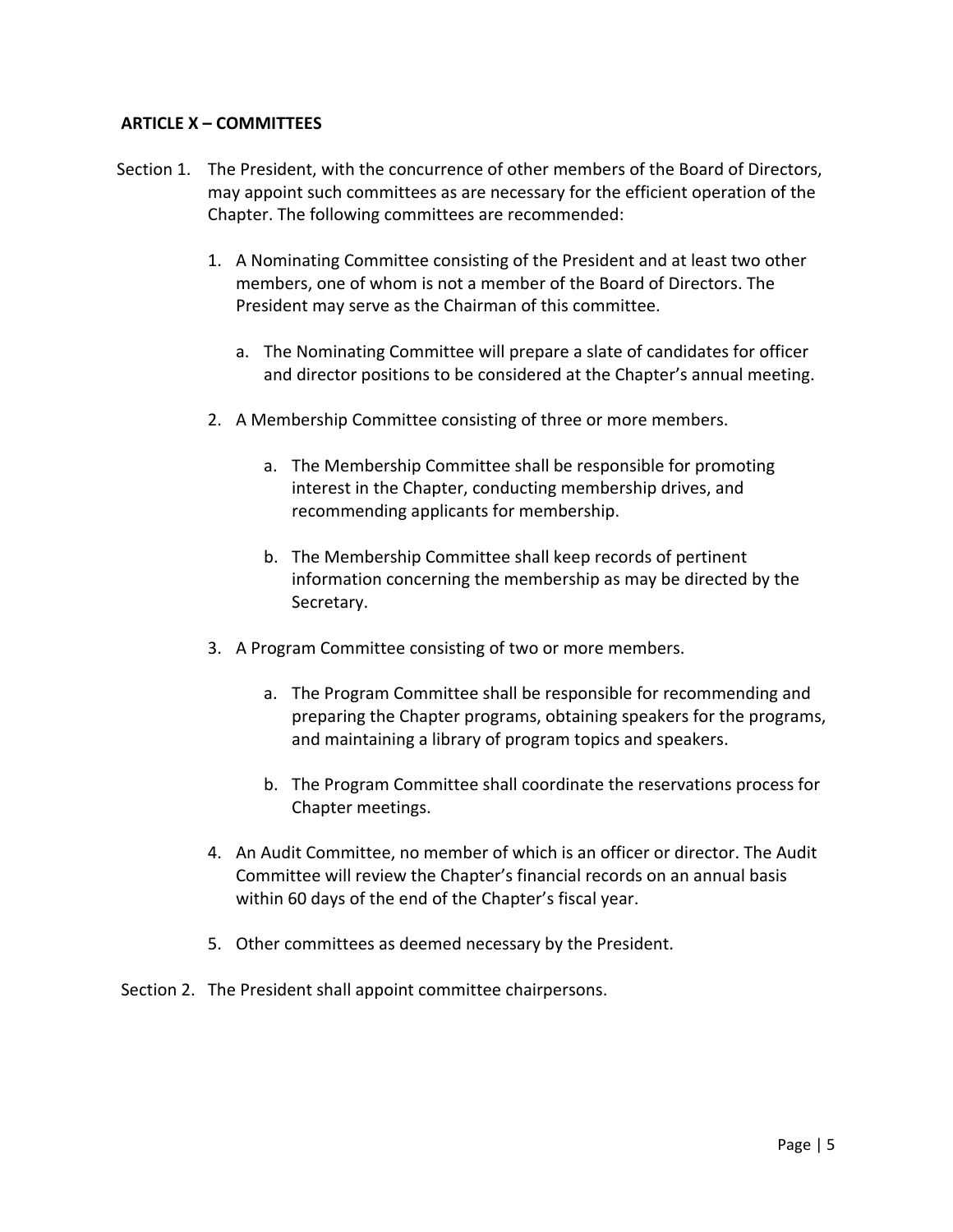## **ARTICLE X – COMMITTEES**

- Section 1. The President, with the concurrence of other members of the Board of Directors, may appoint such committees as are necessary for the efficient operation of the Chapter. The following committees are recommended:
	- 1. A Nominating Committee consisting of the President and at least two other members, one of whom is not a member of the Board of Directors. The President may serve as the Chairman of this committee.
		- a. The Nominating Committee will prepare a slate of candidates for officer and director positions to be considered at the Chapter's annual meeting.
	- 2. A Membership Committee consisting of three or more members.
		- a. The Membership Committee shall be responsible for promoting interest in the Chapter, conducting membership drives, and recommending applicants for membership.
		- b. The Membership Committee shall keep records of pertinent information concerning the membership as may be directed by the Secretary.
	- 3. A Program Committee consisting of two or more members.
		- a. The Program Committee shall be responsible for recommending and preparing the Chapter programs, obtaining speakers for the programs, and maintaining a library of program topics and speakers.
		- b. The Program Committee shall coordinate the reservations process for Chapter meetings.
	- 4. An Audit Committee, no member of which is an officer or director. The Audit Committee will review the Chapter's financial records on an annual basis within 60 days of the end of the Chapter's fiscal year.
	- 5. Other committees as deemed necessary by the President.
- Section 2. The President shall appoint committee chairpersons.